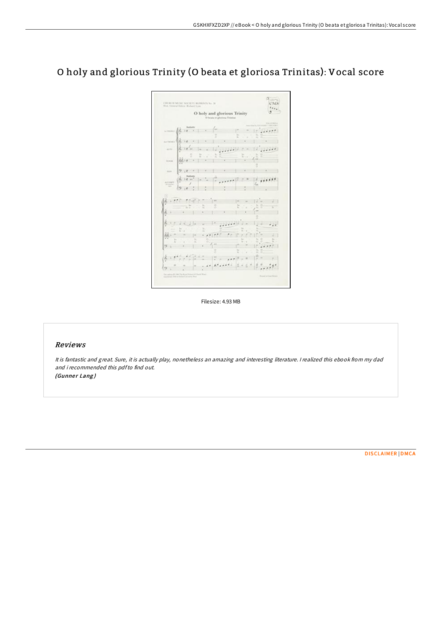## O holy and glorious Trinity (O beata et gloriosa Trinitas): Vocal score

 $\begin{bmatrix} \cos s \\ \cos s \\ \sin s \end{bmatrix}$ URUKUN MUSIC SOCIETY KURENTS So. 30.  $\label{eq:1.1} \text{Hence, for any } \mathcal{H} \text{ is a constant.}$ O holy and glorious Trinity  $\lim_{n \to \infty} \left| \oint_{\frac{1}{n}} \frac{\sin x}{e^{-x} + x} + \int_{0}^{x} \frac{e^{-x}}{e^{-x}} \right|_{0}^{x} = \frac{1}{2} \sum_{i=1}^{n} \frac{1}{2} \cdot \cos t \cdot \frac{1}{2}$  $\lim_{n\to\infty}\frac{1}{2^{n}}\log^{\frac{1}{2}n}\left(\ln\left\|u\right\|+\frac{1}{2}\log\left(\frac{1}{2}\log\left(\frac{1}{2}\right)+\frac{1}{2}\log\left(\frac{1}{2}\log\left(\frac{1}{2}\right)\right)\right)\right).$  $\frac{2}{3}$   $\frac{2}{3}$   $\frac{2}{3}$   $\frac{2}{3}$   $\frac{2}{3}$   $\frac{2}{3}$   $\frac{2}{3}$   $\frac{2}{3}$   $\frac{2}{3}$   $\frac{2}{3}$  $\cdots \quad 2 \cdot 1 \cdot 1 \cdot 1 \quad \cdot \quad 1 \quad \cdot \quad 1 \quad \cdot \quad 1$  $=\left|\frac{\xi}{\delta}\prod_{i=1}^{k-1}\left|\frac{\xi}{\xi}\right|^{2}+\left|\frac{\xi}{\xi}\prod_{i=1}^{k-1}\frac{\xi}{\xi}\prod_{i=1}^{k-1}\frac{\xi}{\xi}\prod_{i=1}^{k-1}\frac{\xi}{\xi}\prod_{i=1}^{k-1}\frac{\xi}{\xi}\prod_{i=1}^{k-1}\frac{\xi}{\xi}\prod_{i=1}^{k-1}\frac{\xi}{\xi}\prod_{i=1}^{k-1}\frac{\xi}{\xi}\prod_{i=1}^{k-1}\frac{\xi}{\xi}\prod_{i=1}^{k-1}\frac{\xi}{\xi}\prod_{i=1}^{k-1}\frac{\$  $\begin{pmatrix} \frac{1}{2} & \frac{1}{2} & \frac{1}{2} & \frac{1}{2} & \frac{1}{2} & \frac{1}{2} & \frac{1}{2} & \frac{1}{2} & \frac{1}{2} & \frac{1}{2} & \frac{1}{2} & \frac{1}{2} & \frac{1}{2} & \frac{1}{2} & \frac{1}{2} & \frac{1}{2} & \frac{1}{2} & \frac{1}{2} & \frac{1}{2} & \frac{1}{2} & \frac{1}{2} & \frac{1}{2} & \frac{1}{2} & \frac{1}{2} & \frac{1}{2} & \frac{1}{2} & \frac{1}{2$ Any dealers throughout the top and  $\frac{1}{M}=\frac{1}{2}+\frac{1}{2}+\frac{1}{2}\frac{1}{2(12\pi)^2}\frac{1}{2(12\pi)^2}\frac{1}{2(12\pi)^2}\frac{1}{2(12\pi)^2}\frac{1}{2(12\pi)^2}$  $\frac{1}{2}$ ,  $\frac{1}{2}$ ,  $\frac{1}{2}$ ,  $\frac{1}{2}$ ,  $\frac{1}{2}$ ,  $\frac{1}{2}$ ,  $\frac{1}{2}$ ,  $\frac{1}{2}$ ,  $\frac{1}{2}$ ,  $\frac{1}{2}$ ,  $\frac{1}{2}$ ,  $\frac{1}{2}$ ,  $\frac{1}{2}$ ,  $\frac{1}{2}$ ,  $\frac{1}{2}$ ,  $\frac{1}{2}$  $\left| \frac{1}{2} + \frac{1}{2} \frac{1}{2} \right| \frac{1}{2} \left| \frac{1}{2} \right| \leq \frac{1}{2} \left| \frac{1}{2} \right| \leq \frac{1}{2} \left| \frac{1}{2} \right| \leq \frac{1}{2} \left| \frac{1}{2} \right| \leq \frac{1}{2} \left| \frac{1}{2} \right| \leq \frac{1}{2} \left| \frac{1}{2} \right| \leq \frac{1}{2}$  $\frac{1}{2}$  ,  $\frac{1}{2}$  ,  $\frac{1}{2}$  ,  $\frac{1}{2}$  ,  $\frac{1}{2}$  ,  $\frac{1}{2}$  ,  $\frac{1}{2}$  ,  $\frac{1}{2}$  ,  $\frac{1}{2}$  ,  $\frac{1}{2}$  ,  $\frac{1}{2}$  ,  $\frac{1}{2}$  ,  $\frac{1}{2}$  ,  $\frac{1}{2}$  ,  $\frac{1}{2}$  ,  $\frac{1}{2}$  ,  $\frac{1}{2}$  ,  $\frac{1}{2}$  ,  $\frac{1$ 

Filesize: 4.93 MB

## Reviews

It is fantastic and great. Sure, it is actually play, nonetheless an amazing and interesting literature. <sup>I</sup> realized this ebook from my dad and i recommended this pdfto find out. (Gunner Lang)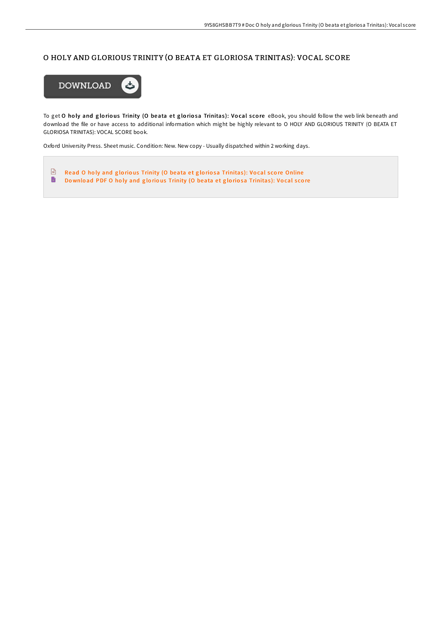## O HOLY AND GLORIOUS TRINITY (O BEATA ET GLORIOSA TRINITAS): VOCAL SCORE



To get O holy and glorious Trinity (O beata et gloriosa Trinitas): Vocal score eBook, you should follow the web link beneath and download the file or have access to additional information which might be highly relevant to O HOLY AND GLORIOUS TRINITY (O BEATA ET GLORIOSA TRINITAS): VOCAL SCORE book.

Oxford University Press. Sheet music. Condition: New. New copy - Usually dispatched within 2 working days.

 $\frac{D}{100}$ Read O holy and glorious Trinity (O beata et gloriosa [Trinitas](http://almighty24.tech/o-holy-and-glorious-trinity-o-beata-et-gloriosa-.html)): Vocal score Online  $\blacksquare$ Download PDF O holy and glorious Trinity (O beata et gloriosa [Trinitas](http://almighty24.tech/o-holy-and-glorious-trinity-o-beata-et-gloriosa-.html)): Vocal score